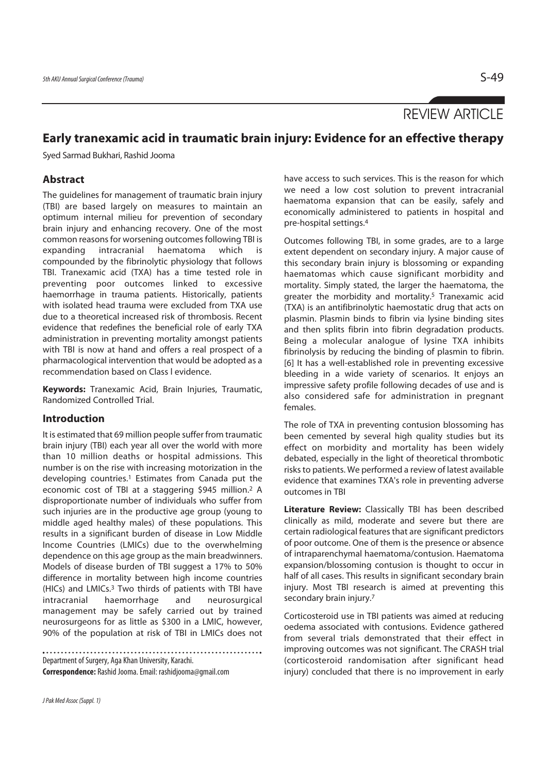# REVIEW ARTICLE

# **Early tranexamic acid in traumatic brain injury: Evidence for an effective therapy**

Syed Sarmad Bukhari, Rashid Jooma

# **Abstract**

The guidelines for management of traumatic brain injury (TBI) are based largely on measures to maintain an optimum internal milieu for prevention of secondary brain injury and enhancing recovery. One of the most common reasons for worsening outcomes following TBI is expanding intracranial haematoma which is compounded by the fibrinolytic physiology that follows TBI. Tranexamic acid (TXA) has a time tested role in preventing poor outcomes linked to excessive haemorrhage in trauma patients. Historically, patients with isolated head trauma were excluded from TXA use due to a theoretical increased risk of thrombosis. Recent evidence that redefines the beneficial role of early TXA administration in preventing mortality amongst patients with TBI is now at hand and offers a real prospect of a pharmacological intervention that would be adopted as a recommendation based on Class l evidence.

**Keywords:** Tranexamic Acid, Brain Injuries, Traumatic, Randomized Controlled Trial.

# **Introduction**

It is estimated that 69 million people suffer from traumatic brain injury (TBI) each year all over the world with more than 10 million deaths or hospital admissions. This number is on the rise with increasing motorization in the developing countries.1 Estimates from Canada put the economic cost of TBI at a staggering \$945 million.2 A disproportionate number of individuals who suffer from such injuries are in the productive age group (young to middle aged healthy males) of these populations. This results in a significant burden of disease in Low Middle Income Countries (LMICs) due to the overwhelming dependence on this age group as the main breadwinners. Models of disease burden of TBI suggest a 17% to 50% difference in mortality between high income countries (HICs) and LMICs.3 Two thirds of patients with TBI have intracranial haemorrhage and neurosurgical management may be safely carried out by trained neurosurgeons for as little as \$300 in a LMIC, however, 90% of the population at risk of TBI in LMICs does not

Department of Surgery, Aga Khan University, Karachi. **Correspondence:** Rashid Jooma. Email: rashidjooma@gmail.com have access to such services. This is the reason for which we need a low cost solution to prevent intracranial haematoma expansion that can be easily, safely and economically administered to patients in hospital and pre-hospital settings.4

Outcomes following TBI, in some grades, are to a large extent dependent on secondary injury. A major cause of this secondary brain injury is blossoming or expanding haematomas which cause significant morbidity and mortality. Simply stated, the larger the haematoma, the greater the morbidity and mortality.<sup>5</sup> Tranexamic acid (TXA) is an antifibrinolytic haemostatic drug that acts on plasmin. Plasmin binds to fibrin via lysine binding sites and then splits fibrin into fibrin degradation products. Being a molecular analogue of lysine TXA inhibits fibrinolysis by reducing the binding of plasmin to fibrin. [6] It has a well-established role in preventing excessive bleeding in a wide variety of scenarios. It enjoys an impressive safety profile following decades of use and is also considered safe for administration in pregnant females.

The role of TXA in preventing contusion blossoming has been cemented by several high quality studies but its effect on morbidity and mortality has been widely debated, especially in the light of theoretical thrombotic risks to patients. We performed a review of latest available evidence that examines TXA's role in preventing adverse outcomes in TBI

**Literature Review:** Classically TBI has been described clinically as mild, moderate and severe but there are certain radiological features that are significant predictors of poor outcome. One of them is the presence or absence of intraparenchymal haematoma/contusion. Haematoma expansion/blossoming contusion is thought to occur in half of all cases. This results in significant secondary brain injury. Most TBI research is aimed at preventing this secondary brain injury.<sup>7</sup>

Corticosteroid use in TBI patients was aimed at reducing oedema associated with contusions. Evidence gathered from several trials demonstrated that their effect in improving outcomes was not significant. The CRASH trial (corticosteroid randomisation after significant head injury) concluded that there is no improvement in early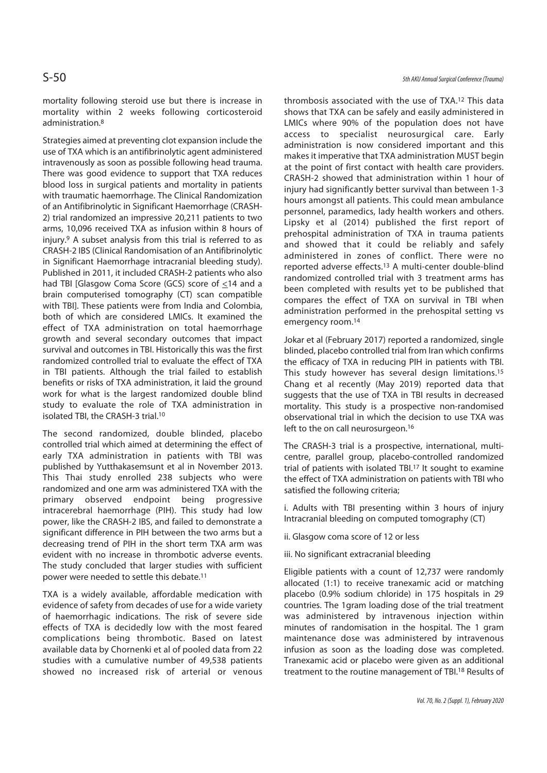mortality following steroid use but there is increase in mortality within 2 weeks following corticosteroid administration.8

Strategies aimed at preventing clot expansion include the use of TXA which is an antifibrinolytic agent administered intravenously as soon as possible following head trauma. There was good evidence to support that TXA reduces blood loss in surgical patients and mortality in patients with traumatic haemorrhage. The Clinical Randomization of an Antifibrinolytic in Significant Haemorrhage (CRASH-2) trial randomized an impressive 20,211 patients to two arms, 10,096 received TXA as infusion within 8 hours of injury.9 A subset analysis from this trial is referred to as CRASH-2 IBS (Clinical Randomisation of an Antifibrinolytic in Significant Haemorrhage intracranial bleeding study). Published in 2011, it included CRASH-2 patients who also had TBI [Glasgow Coma Score (GCS) score of  $\leq$ 14 and a brain computerised tomography (CT) scan compatible with TBI]. These patients were from India and Colombia, both of which are considered LMICs. It examined the effect of TXA administration on total haemorrhage growth and several secondary outcomes that impact survival and outcomes in TBI. Historically this was the first randomized controlled trial to evaluate the effect of TXA in TBI patients. Although the trial failed to establish benefits or risks of TXA administration, it laid the ground work for what is the largest randomized double blind study to evaluate the role of TXA administration in isolated TBI, the CRASH-3 trial.10

The second randomized, double blinded, placebo controlled trial which aimed at determining the effect of early TXA administration in patients with TBI was published by Yutthakasemsunt et al in November 2013. This Thai study enrolled 238 subjects who were randomized and one arm was administered TXA with the primary observed endpoint being progressive intracerebral haemorrhage (PIH). This study had low power, like the CRASH-2 IBS, and failed to demonstrate a significant difference in PIH between the two arms but a decreasing trend of PIH in the short term TXA arm was evident with no increase in thrombotic adverse events. The study concluded that larger studies with sufficient power were needed to settle this debate.11

TXA is a widely available, affordable medication with evidence of safety from decades of use for a wide variety of haemorrhagic indications. The risk of severe side effects of TXA is decidedly low with the most feared complications being thrombotic. Based on latest available data by Chornenki et al of pooled data from 22 studies with a cumulative number of 49,538 patients showed no increased risk of arterial or venous

thrombosis associated with the use of TXA.12 This data shows that TXA can be safely and easily administered in LMICs where 90% of the population does not have access to specialist neurosurgical care. Early administration is now considered important and this makes it imperative that TXA administration MUST begin at the point of first contact with health care providers. CRASH-2 showed that administration within 1 hour of injury had significantly better survival than between 1-3 hours amongst all patients. This could mean ambulance personnel, paramedics, lady health workers and others. Lipsky et al (2014) published the first report of prehospital administration of TXA in trauma patients and showed that it could be reliably and safely administered in zones of conflict. There were no reported adverse effects.13 A multi-center double-blind randomized controlled trial with 3 treatment arms has been completed with results yet to be published that compares the effect of TXA on survival in TBI when administration performed in the prehospital setting vs emergency room.14

Jokar et al (February 2017) reported a randomized, single blinded, placebo controlled trial from Iran which confirms the efficacy of TXA in reducing PIH in patients with TBI. This study however has several design limitations.<sup>15</sup> Chang et al recently (May 2019) reported data that suggests that the use of TXA in TBI results in decreased mortality. This study is a prospective non-randomised observational trial in which the decision to use TXA was left to the on call neurosurgeon.<sup>16</sup>

The CRASH-3 trial is a prospective, international, multicentre, parallel group, placebo-controlled randomized trial of patients with isolated TBI.17 It sought to examine the effect of TXA administration on patients with TBI who satisfied the following criteria;

i. Adults with TBI presenting within 3 hours of injury Intracranial bleeding on computed tomography (CT)

- ii. Glasgow coma score of 12 or less
- iii. No significant extracranial bleeding

Eligible patients with a count of 12,737 were randomly allocated (1:1) to receive tranexamic acid or matching placebo (0.9% sodium chloride) in 175 hospitals in 29 countries. The 1gram loading dose of the trial treatment was administered by intravenous injection within minutes of randomisation in the hospital. The 1 gram maintenance dose was administered by intravenous infusion as soon as the loading dose was completed. Tranexamic acid or placebo were given as an additional treatment to the routine management of TBI.18 Results of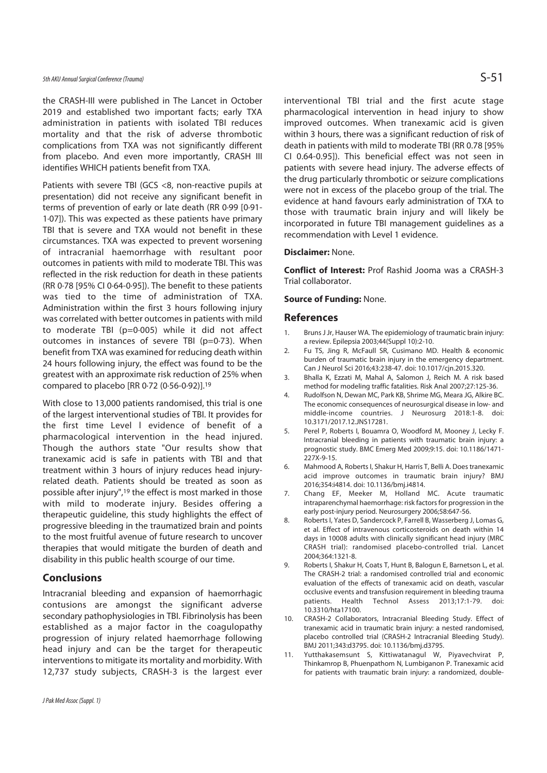## 5th AKU Annual Surgical Conference (Trauma)  $S$  - 51

the CRASH-III were published in The Lancet in October 2019 and established two important facts; early TXA administration in patients with isolated TBI reduces mortality and that the risk of adverse thrombotic complications from TXA was not significantly different from placebo. And even more importantly, CRASH III identifies WHICH patients benefit from TXA.

Patients with severe TBI (GCS <8, non-reactive pupils at presentation) did not receive any significant benefit in terms of prevention of early or late death (RR 0·99 [0·91- 1·07]). This was expected as these patients have primary TBI that is severe and TXA would not benefit in these circumstances. TXA was expected to prevent worsening of intracranial haemorrhage with resultant poor outcomes in patients with mild to moderate TBI. This was reflected in the risk reduction for death in these patients (RR 0·78 [95% CI 0·64-0·95]). The benefit to these patients was tied to the time of administration of TXA. Administration within the first 3 hours following injury was correlated with better outcomes in patients with mild to moderate TBI (p=0·005) while it did not affect outcomes in instances of severe TBI (p=0·73). When benefit from TXA was examined for reducing death within 24 hours following injury, the effect was found to be the greatest with an approximate risk reduction of 25% when compared to placebo [RR 0·72 (0·56-0·92)].19

With close to 13,000 patients randomised, this trial is one of the largest interventional studies of TBI. It provides for the first time Level l evidence of benefit of a pharmacological intervention in the head injured. Though the authors state "Our results show that tranexamic acid is safe in patients with TBI and that treatment within 3 hours of injury reduces head injuryrelated death. Patients should be treated as soon as possible after injury",19 the effect is most marked in those with mild to moderate injury. Besides offering a therapeutic guideline, this study highlights the effect of progressive bleeding in the traumatized brain and points to the most fruitful avenue of future research to uncover therapies that would mitigate the burden of death and disability in this public health scourge of our time.

### **Conclusions**

Intracranial bleeding and expansion of haemorrhagic contusions are amongst the significant adverse secondary pathophysiologies in TBI. Fibrinolysis has been established as a major factor in the coagulopathy progression of injury related haemorrhage following head injury and can be the target for therapeutic interventions to mitigate its mortality and morbidity. With 12,737 study subjects, CRASH-3 is the largest ever

interventional TBI trial and the first acute stage pharmacological intervention in head injury to show improved outcomes. When tranexamic acid is given within 3 hours, there was a significant reduction of risk of death in patients with mild to moderate TBI (RR 0.78 [95% CI 0.64-0.95]). This beneficial effect was not seen in patients with severe head injury. The adverse effects of the drug particularly thrombotic or seizure complications were not in excess of the placebo group of the trial. The evidence at hand favours early administration of TXA to those with traumatic brain injury and will likely be incorporated in future TBI management guidelines as a recommendation with Level 1 evidence.

#### **Disclaimer:** None.

**Conflict of Interest:** Prof Rashid Jooma was a CRASH-3 Trial collaborator.

#### **Source of Funding:** None.

#### **References**

- 1. Bruns J Jr, Hauser WA. The epidemiology of traumatic brain injury: a review. Epilepsia 2003;44(Suppl 10):2-10.
- 2. Fu TS, Jing R, McFaull SR, Cusimano MD. Health & economic burden of traumatic brain injury in the emergency department. Can J Neurol Sci 2016;43:238-47. doi: 10.1017/cjn.2015.320.
- 3. Bhalla K, Ezzati M, Mahal A, Salomon J, Reich M. A risk based method for modeling traffic fatalities. Risk Anal 2007;27:125-36.
- 4. Rudolfson N, Dewan MC, Park KB, Shrime MG, Meara JG, Alkire BC. The economic consequences of neurosurgical disease in low- and middle-income countries. J Neurosurg 2018:1-8. doi: 10.3171/2017.12.JNS17281.
- 5. Perel P, Roberts I, Bouamra O, Woodford M, Mooney J, Lecky F. Intracranial bleeding in patients with traumatic brain injury: a prognostic study. BMC Emerg Med 2009;9:15. doi: 10.1186/1471- 227X-9-15.
- 6. Mahmood A, Roberts I, Shakur H, Harris T, Belli A. Does tranexamic acid improve outcomes in traumatic brain injury? BMJ 2016;354:i4814. doi: 10.1136/bmj.i4814.
- 7. Chang EF, Meeker M, Holland MC. Acute traumatic intraparenchymal haemorrhage: risk factors for progression in the early post-injury period. Neurosurgery 2006;58:647-56.
- 8. Roberts I, Yates D, Sandercock P, Farrell B, Wasserberg J, Lomas G, et al. Effect of intravenous corticosteroids on death within 14 days in 10008 adults with clinically significant head injury (MRC CRASH trial): randomised placebo-controlled trial. Lancet 2004;364:1321-8.
- 9. Roberts I, Shakur H, Coats T, Hunt B, Balogun E, Barnetson L, et al. The CRASH-2 trial: a randomised controlled trial and economic evaluation of the effects of tranexamic acid on death, vascular occlusive events and transfusion requirement in bleeding trauma patients. Health Technol Assess 2013;17:1-79. doi: 10.3310/hta17100.
- 10. CRASH-2 Collaborators, Intracranial Bleeding Study. Effect of tranexamic acid in traumatic brain injury: a nested randomised, placebo controlled trial (CRASH-2 Intracranial Bleeding Study). BMJ 2011;343:d3795. doi: 10.1136/bmj.d3795.
- 11. Yutthakasemsunt S, Kittiwatanagul W, Piyavechvirat P, Thinkamrop B, Phuenpathom N, Lumbiganon P. Tranexamic acid for patients with traumatic brain injury: a randomized, double-